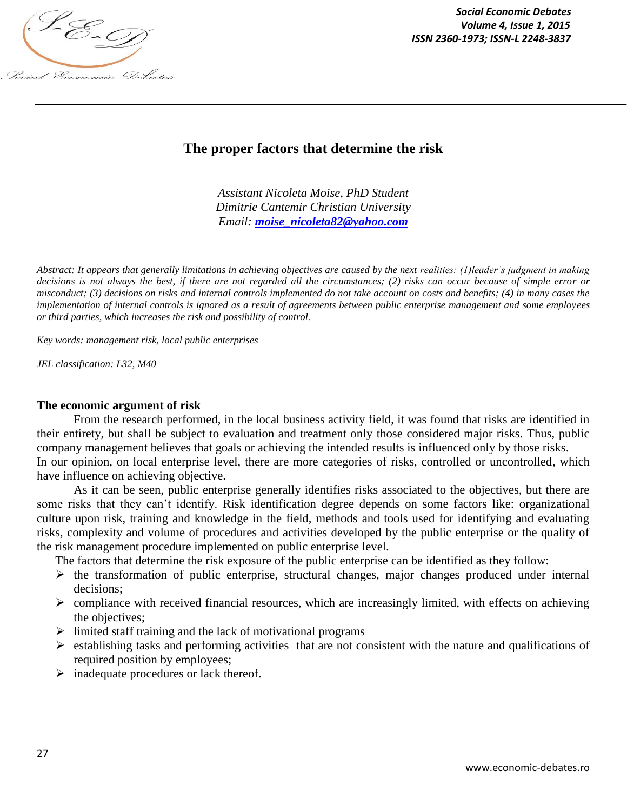

*Social Economic Debates ISSN 2360-1973; ISSN-L 2248-3837*

# **The proper factors that determine the risk**

*Assistant Nicoleta Moise, PhD Student Dimitrie Cantemir Christian University Email: moise\_nicoleta82@yahoo.com*

*Abstract: It appears that generally limitations in achieving objectives are caused by the next realities: (1)leader's judgment in making decisions is not always the best, if there are not regarded all the circumstances; (2) risks can occur because of simple error or misconduct; (3) decisions on risks and internal controls implemented do not take account on costs and benefits; (4) in many cases the implementation of internal controls is ignored as a result of agreements between public enterprise management and some employees or third parties, which increases the risk and possibility of control.*

*Key words: management risk, local public enterprises*

*JEL classification: L32, M40*

## **The economic argument of risk**

From the research performed, in the local business activity field, it was found that risks are identified in their entirety, but shall be subject to evaluation and treatment only those considered major risks. Thus, public company management believes that goals or achieving the intended results is influenced only by those risks. In our opinion, on local enterprise level, there are more categories of risks, controlled or uncontrolled, which have influence on achieving objective.

As it can be seen, public enterprise generally identifies risks associated to the objectives, but there are some risks that they can't identify. Risk identification degree depends on some factors like: organizational culture upon risk, training and knowledge in the field, methods and tools used for identifying and evaluating risks, complexity and volume of procedures and activities developed by the public enterprise or the quality of the risk management procedure implemented on public enterprise level.

The factors that determine the risk exposure of the public enterprise can be identified as they follow:

- $\triangleright$  the transformation of public enterprise, structural changes, major changes produced under internal decisions;
- $\triangleright$  compliance with received financial resources, which are increasingly limited, with effects on achieving the objectives;
- $\triangleright$  limited staff training and the lack of motivational programs
- $\triangleright$  establishing tasks and performing activities that are not consistent with the nature and qualifications of required position by employees;
- $\triangleright$  inadequate procedures or lack thereof.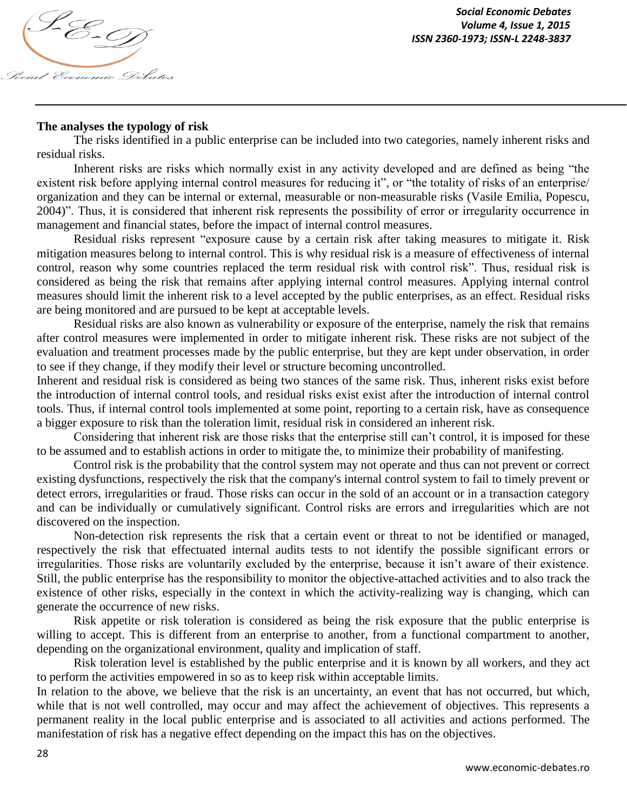

## **The analyses the typology of risk**

The risks identified in a public enterprise can be included into two categories, namely inherent risks and residual risks.

Inherent risks are risks which normally exist in any activity developed and are defined as being "the existent risk before applying internal control measures for reducing it", or "the totality of risks of an enterprise/ organization and they can be internal or external, measurable or non-measurable risks (Vasile Emilia, Popescu, 2004)". Thus, it is considered that inherent risk represents the possibility of error or irregularity occurrence in management and financial states, before the impact of internal control measures.

Residual risks represent "exposure cause by a certain risk after taking measures to mitigate it. Risk mitigation measures belong to internal control. This is why residual risk is a measure of effectiveness of internal control, reason why some countries replaced the term residual risk with control risk". Thus, residual risk is considered as being the risk that remains after applying internal control measures. Applying internal control measures should limit the inherent risk to a level accepted by the public enterprises, as an effect. Residual risks are being monitored and are pursued to be kept at acceptable levels.

Residual risks are also known as vulnerability or exposure of the enterprise, namely the risk that remains after control measures were implemented in order to mitigate inherent risk. These risks are not subject of the evaluation and treatment processes made by the public enterprise, but they are kept under observation, in order to see if they change, if they modify their level or structure becoming uncontrolled.

Inherent and residual risk is considered as being two stances of the same risk. Thus, inherent risks exist before the introduction of internal control tools, and residual risks exist exist after the introduction of internal control tools. Thus, if internal control tools implemented at some point, reporting to a certain risk, have as consequence a bigger exposure to risk than the toleration limit, residual risk in considered an inherent risk.

Considering that inherent risk are those risks that the enterprise still can't control, it is imposed for these to be assumed and to establish actions in order to mitigate the, to minimize their probability of manifesting.

Control risk is the probability that the control system may not operate and thus can not prevent or correct existing dysfunctions, respectively the risk that the company's internal control system to fail to timely prevent or detect errors, irregularities or fraud. Those risks can occur in the sold of an account or in a transaction category and can be individually or cumulatively significant. Control risks are errors and irregularities which are not discovered on the inspection.

Non-detection risk represents the risk that a certain event or threat to not be identified or managed, respectively the risk that effectuated internal audits tests to not identify the possible significant errors or irregularities. Those risks are voluntarily excluded by the enterprise, because it isn't aware of their existence. Still, the public enterprise has the responsibility to monitor the objective-attached activities and to also track the existence of other risks, especially in the context in which the activity-realizing way is changing, which can generate the occurrence of new risks.

Risk appetite or risk toleration is considered as being the risk exposure that the public enterprise is willing to accept. This is different from an enterprise to another, from a functional compartment to another, depending on the organizational environment, quality and implication of staff.

Risk toleration level is established by the public enterprise and it is known by all workers, and they act to perform the activities empowered in so as to keep risk within acceptable limits.

In relation to the above, we believe that the risk is an uncertainty, an event that has not occurred, but which, while that is not well controlled, may occur and may affect the achievement of objectives. This represents a permanent reality in the local public enterprise and is associated to all activities and actions performed. The manifestation of risk has a negative effect depending on the impact this has on the objectives.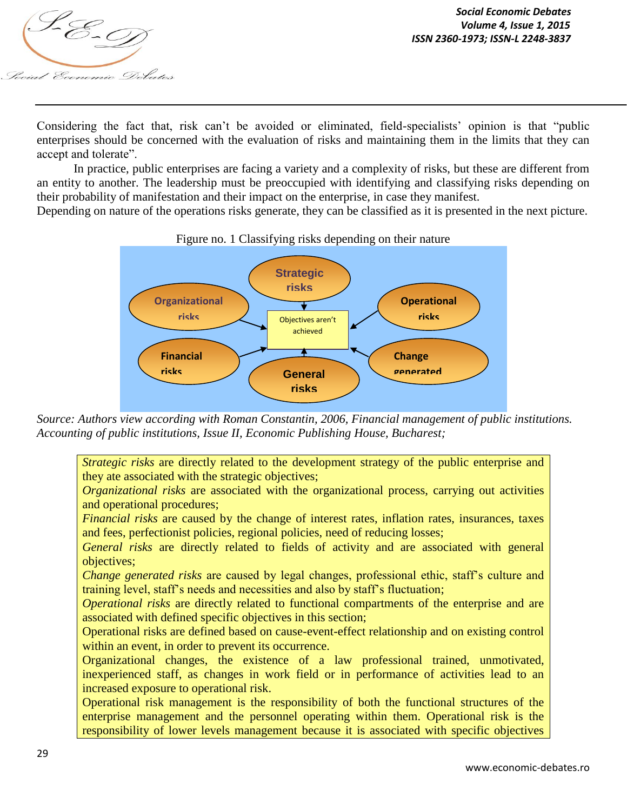

Considering the fact that, risk can't be avoided or eliminated, field-specialists' opinion is that "public enterprises should be concerned with the evaluation of risks and maintaining them in the limits that they can accept and tolerate".

In practice, public enterprises are facing a variety and a complexity of risks, but these are different from an entity to another. The leadership must be preoccupied with identifying and classifying risks depending on their probability of manifestation and their impact on the enterprise, in case they manifest.

Depending on nature of the operations risks generate, they can be classified as it is presented in the next picture.



# Figure no. 1 Classifying risks depending on their nature

*Source: Authors view according with Roman Constantin, 2006, Financial management of public institutions. Accounting of public institutions, Issue II, Economic Publishing House, Bucharest;* 

*Strategic risks* are directly related to the development strategy of the public enterprise and they ate associated with the strategic objectives;

*Organizational risks* are associated with the organizational process, carrying out activities and operational procedures;

*Financial risks* are caused by the change of interest rates, inflation rates, insurances, taxes and fees, perfectionist policies, regional policies, need of reducing losses;

*General risks* are directly related to fields of activity and are associated with general objectives;

*Change generated risks* are caused by legal changes, professional ethic, staff's culture and training level, staff's needs and necessities and also by staff's fluctuation;

*Operational risks* are directly related to functional compartments of the enterprise and are associated with defined specific objectives in this section;

Operational risks are defined based on cause-event-effect relationship and on existing control within an event, in order to prevent its occurrence.

Organizational changes, the existence of a law professional trained, unmotivated, inexperienced staff, as changes in work field or in performance of activities lead to an increased exposure to operational risk.

Operational risk management is the responsibility of both the functional structures of the enterprise management and the personnel operating within them. Operational risk is the responsibility of lower levels management because it is associated with specific objectives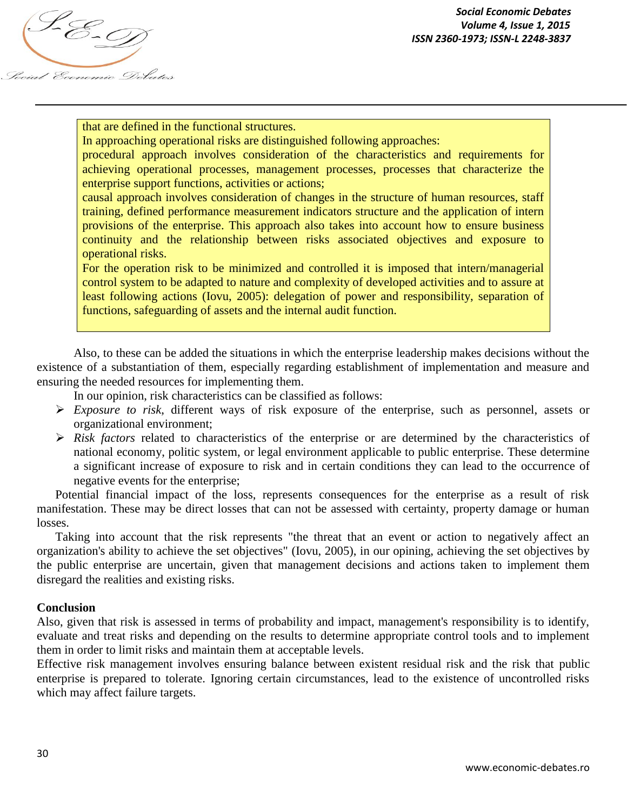Social Economic Debates

that are defined in the functional structures.

In approaching operational risks are distinguished following approaches:

procedural approach involves consideration of the characteristics and requirements for achieving operational processes, management processes, processes that characterize the enterprise support functions, activities or actions;

causal approach involves consideration of changes in the structure of human resources, staff training, defined performance measurement indicators structure and the application of intern provisions of the enterprise. This approach also takes into account how to ensure business continuity and the relationship between risks associated objectives and exposure to operational risks.

For the operation risk to be minimized and controlled it is imposed that intern/managerial control system to be adapted to nature and complexity of developed activities and to assure at least following actions (Iovu, 2005): delegation of power and responsibility, separation of functions, safeguarding of assets and the internal audit function.

Also, to these can be added the situations in which the enterprise leadership makes decisions without the existence of a substantiation of them, especially regarding establishment of implementation and measure and ensuring the needed resources for implementing them.

In our opinion, risk characteristics can be classified as follows:

- *Exposure to risk*, different ways of risk exposure of the enterprise, such as personnel, assets or organizational environment;
- *Risk factors* related to characteristics of the enterprise or are determined by the characteristics of national economy, politic system, or legal environment applicable to public enterprise. These determine a significant increase of exposure to risk and in certain conditions they can lead to the occurrence of negative events for the enterprise;

Potential financial impact of the loss, represents consequences for the enterprise as a result of risk manifestation. These may be direct losses that can not be assessed with certainty, property damage or human losses.

Taking into account that the risk represents "the threat that an event or action to negatively affect an organization's ability to achieve the set objectives" (Iovu, 2005), in our opining, achieving the set objectives by the public enterprise are uncertain, given that management decisions and actions taken to implement them disregard the realities and existing risks.

# **Conclusion**

Also, given that risk is assessed in terms of probability and impact, management's responsibility is to identify, evaluate and treat risks and depending on the results to determine appropriate control tools and to implement them in order to limit risks and maintain them at acceptable levels.

Effective risk management involves ensuring balance between existent residual risk and the risk that public enterprise is prepared to tolerate. Ignoring certain circumstances, lead to the existence of uncontrolled risks which may affect failure targets.